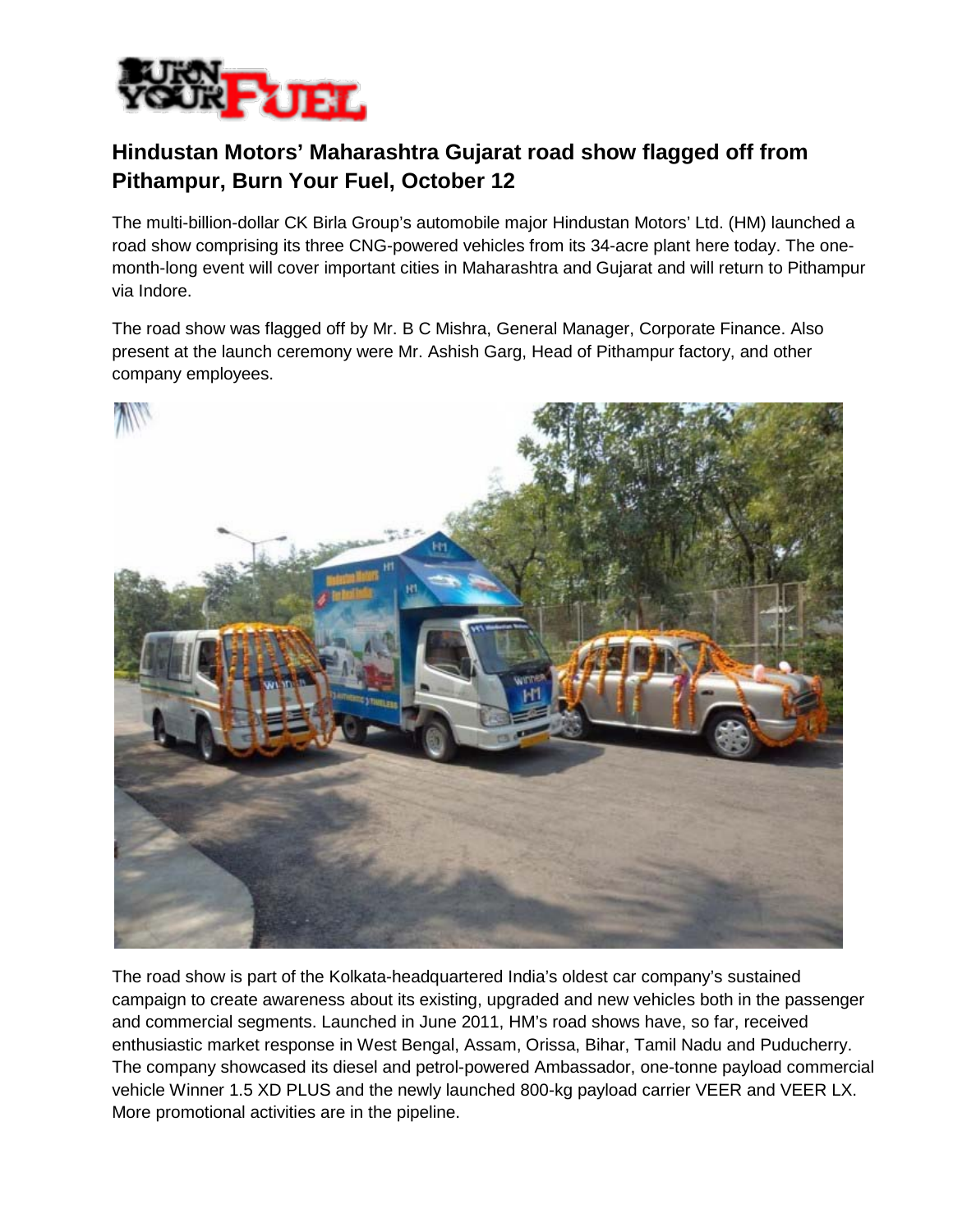

## **Hindustan Motors' Maharashtra Gujarat road show flagged off from Pithampur, Burn Your Fuel, October 12**

The multi-billion-dollar CK Birla Group's automobile major Hindustan Motors' Ltd. (HM) launched a road show comprising its three CNG-powered vehicles from its 34-acre plant here today. The onemonth-long event will cover important cities in Maharashtra and Gujarat and will return to Pithampur via Indore.

The road show was flagged off by Mr. B C Mishra, General Manager, Corporate Finance. Also present at the launch ceremony were Mr. Ashish Garg, Head of Pithampur factory, and other company employees.



The road show is part of the Kolkata-headquartered India's oldest car company's sustained campaign to create awareness about its existing, upgraded and new vehicles both in the passenger and commercial segments. Launched in June 2011, HM's road shows have, so far, received enthusiastic market response in West Bengal, Assam, Orissa, Bihar, Tamil Nadu and Puducherry. The company showcased its diesel and petrol-powered Ambassador, one-tonne payload commercial vehicle Winner 1.5 XD PLUS and the newly launched 800-kg payload carrier VEER and VEER LX. More promotional activities are in the pipeline.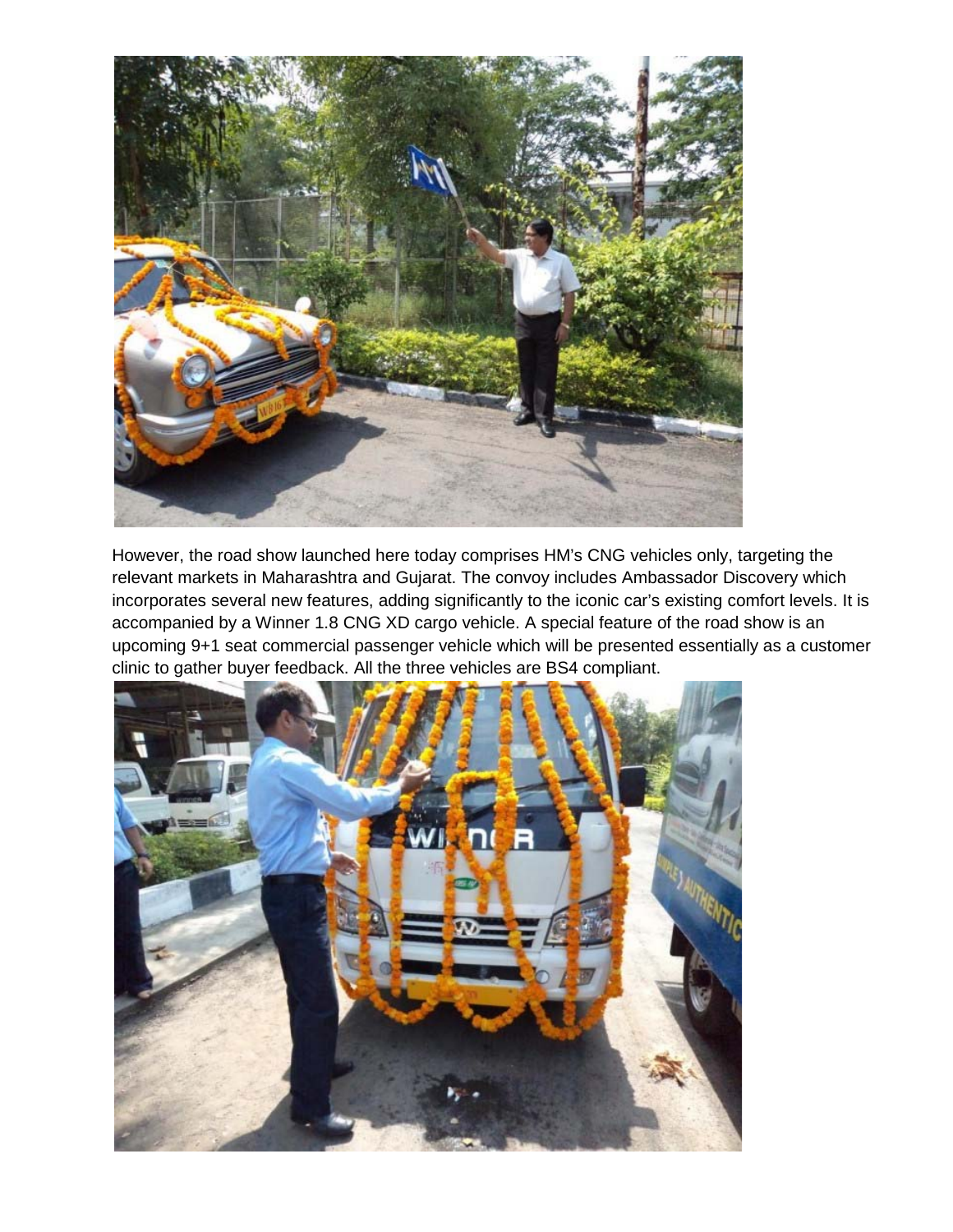

However, the road show launched here today comprises HM's CNG vehicles only, targeting the relevant markets in Maharashtra and Gujarat. The convoy includes Ambassador Discovery which incorporates several new features, adding significantly to the iconic car's existing comfort levels. It is accompanied by a Winner 1.8 CNG XD cargo vehicle. A special feature of the road show is an upcoming 9+1 seat commercial passenger vehicle which will be presented essentially as a customer clinic to gather buyer feedback. All the three vehicles are BS4 compliant.